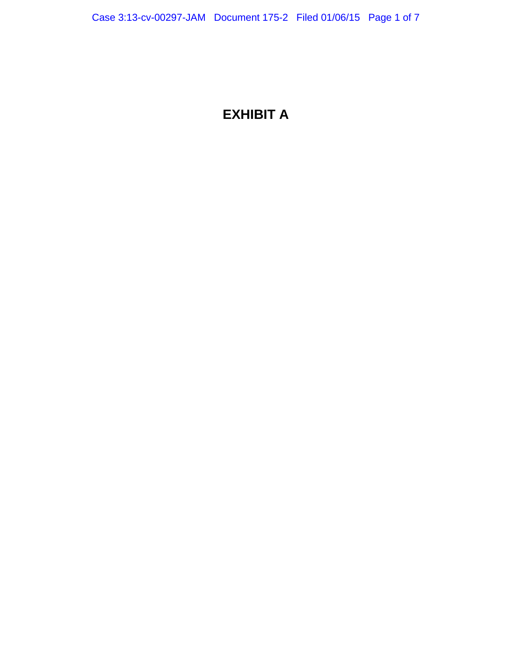## **EXHIBIT A**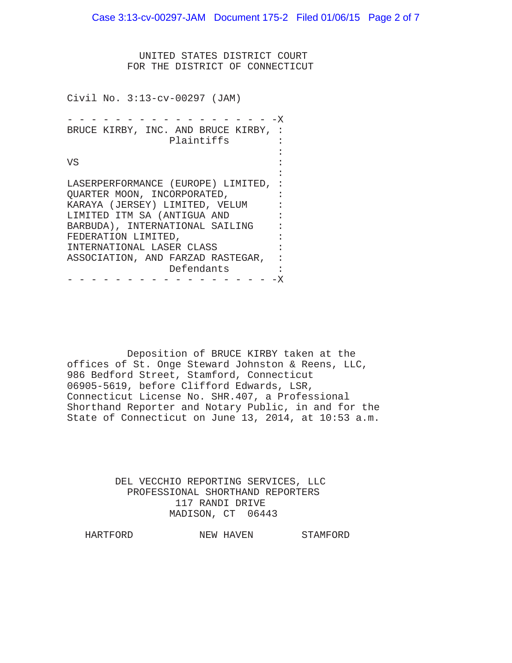Case 3:13-cv-00297-JAM Document 175-2 Filed 01/06/15 Page 2 of 7

 UNITED STATES DISTRICT COURT FOR THE DISTRICT OF CONNECTICUT

Civil No. 3:13-cv-00297 (JAM)

- - - - - - - - - - - - - - - - X BRUCE KIRBY, INC. AND BRUCE KIRBY, : Plaintiffs : the contract of the contract of the contract of the contract of the contract of the contract of the contract of VS : the contract of the contract of the contract of the contract of the contract of the contract of the contract of LASERPERFORMANCE (EUROPE) LIMITED, : QUARTER MOON, INCORPORATED, KARAYA (JERSEY) LIMITED, VELUM : LIMITED ITM SA (ANTIGUA AND : BARBUDA), INTERNATIONAL SAILING : FEDERATION LIMITED,<br>INTERNATIONAL LASER CLASS : INTERNATIONAL LASER CLASS : ASSOCIATION, AND FARZAD RASTEGAR, : Defendants : - - - - - - - - - - - - - - - - - -X

 Deposition of BRUCE KIRBY taken at the offices of St. Onge Steward Johnston & Reens, LLC, 986 Bedford Street, Stamford, Connecticut 06905-5619, before Clifford Edwards, LSR, Connecticut License No. SHR.407, a Professional Shorthand Reporter and Notary Public, in and for the State of Connecticut on June 13, 2014, at 10:53 a.m.

> DEL VECCHIO REPORTING SERVICES, LLC PROFESSIONAL SHORTHAND REPORTERS 117 RANDI DRIVE MADISON, CT 06443

HARTFORD NEW HAVEN STAMFORD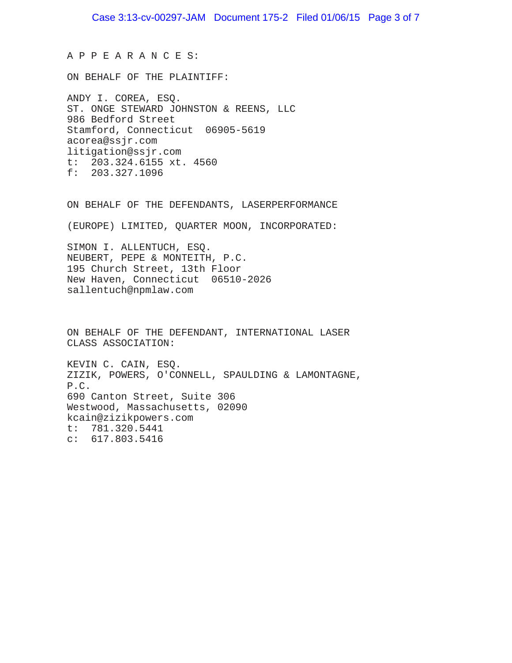A P P E A R A N C E S:

ON BEHALF OF THE PLAINTIFF:

ANDY I. COREA, ESQ. ST. ONGE STEWARD JOHNSTON & REENS, LLC 986 Bedford Street Stamford, Connecticut 06905-5619 acorea@ssjr.com litigation@ssjr.com t: 203.324.6155 xt. 4560 f: 203.327.1096

ON BEHALF OF THE DEFENDANTS, LASERPERFORMANCE

(EUROPE) LIMITED, QUARTER MOON, INCORPORATED:

SIMON I. ALLENTUCH, ESQ. NEUBERT, PEPE & MONTEITH, P.C. 195 Church Street, 13th Floor New Haven, Connecticut 06510-2026 sallentuch@npmlaw.com

ON BEHALF OF THE DEFENDANT, INTERNATIONAL LASER CLASS ASSOCIATION:

KEVIN C. CAIN, ESQ. ZIZIK, POWERS, O'CONNELL, SPAULDING & LAMONTAGNE, P.C. 690 Canton Street, Suite 306 Westwood, Massachusetts, 02090 kcain@zizikpowers.com t: 781.320.5441 c: 617.803.5416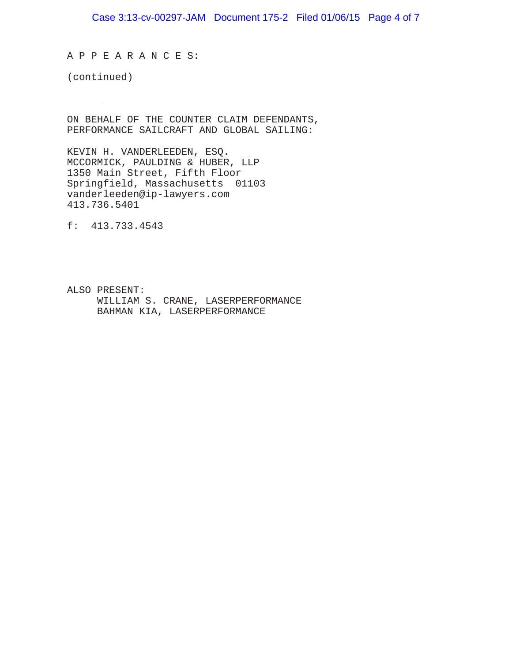A P P E A R A N C E S:

(continued)

ON BEHALF OF THE COUNTER CLAIM DEFENDANTS, PERFORMANCE SAILCRAFT AND GLOBAL SAILING:

KEVIN H. VANDERLEEDEN, ESQ. MCCORMICK, PAULDING & HUBER, LLP 1350 Main Street, Fifth Floor Springfield, Massachusetts 01103 vanderleeden@ip-lawyers.com 413.736.5401

f: 413.733.4543

ALSO PRESENT: WILLIAM S. CRANE, LASERPERFORMANCE BAHMAN KIA, LASERPERFORMANCE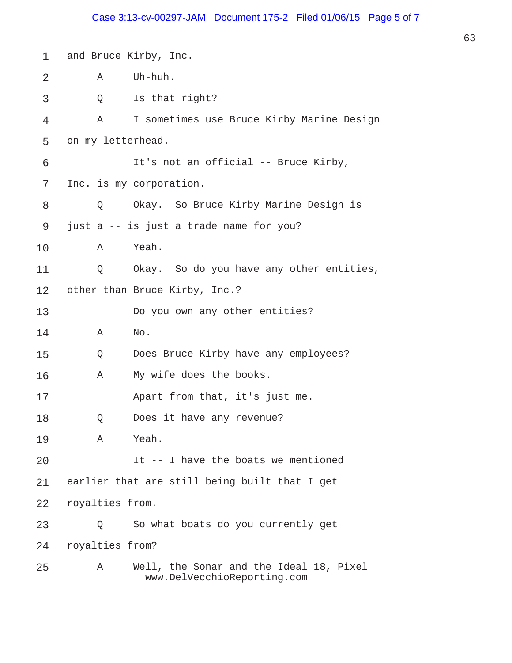## Case 3:13-cv-00297-JAM Document 175-2 Filed 01/06/15 Page 5 of 7

| $\mathbf 1$ |                   | and Bruce Kirby, Inc.                                                  |
|-------------|-------------------|------------------------------------------------------------------------|
| 2           | A                 | Uh-huh.                                                                |
| 3           | Q                 | Is that right?                                                         |
| 4           | А                 | I sometimes use Bruce Kirby Marine Design                              |
| 5           | on my letterhead. |                                                                        |
| 6           |                   | It's not an official -- Bruce Kirby,                                   |
| 7           |                   | Inc. is my corporation.                                                |
| 8           | Q                 | Okay. So Bruce Kirby Marine Design is                                  |
| 9           |                   | just a -- is just a trade name for you?                                |
| 10          | A                 | Yeah.                                                                  |
| 11          |                   | Q Okay. So do you have any other entities,                             |
| 12          |                   | other than Bruce Kirby, Inc.?                                          |
| 13          |                   | Do you own any other entities?                                         |
| 14          | Α                 | No.                                                                    |
| 15          | Q                 | Does Bruce Kirby have any employees?                                   |
| 16          | Α                 | My wife does the books.                                                |
| 17          |                   | Apart from that, it's just me.                                         |
| 18          | Q                 | Does it have any revenue?                                              |
| 19          | A                 | Yeah.                                                                  |
| 20          |                   | It -- I have the boats we mentioned                                    |
| 21          |                   | earlier that are still being built that I get                          |
| 22          | royalties from.   |                                                                        |
| 23          | O                 | So what boats do you currently get                                     |
| 24          | royalties from?   |                                                                        |
| 25          | Α                 | Well, the Sonar and the Ideal 18, Pixel<br>www.DelVecchioReporting.com |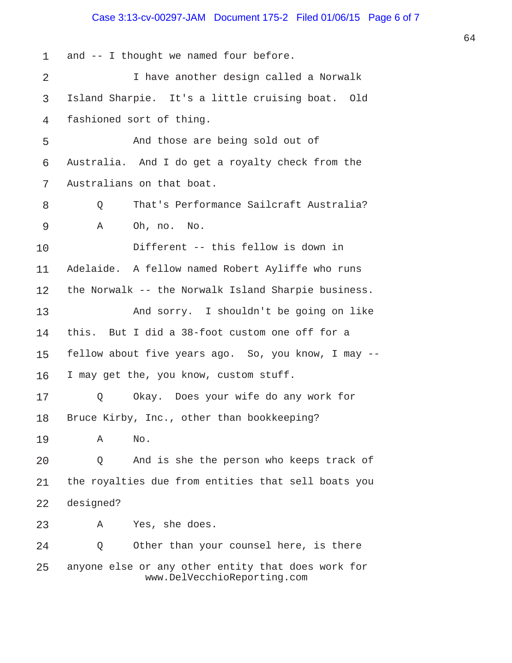## Case 3:13-cv-00297-JAM Document 175-2 Filed 01/06/15 Page 6 of 7

1 and -- I thought we named four before. 2 I have another design called a Norwalk 3 Island Sharpie. It's a little cruising boat. Old 4 fashioned sort of thing. 5 And those are being sold out of 6 Australia. And I do get a royalty check from the 7 Australians on that boat. 8 Q That's Performance Sailcraft Australia? 9 A Oh, no. No. 10 Different -- this fellow is down in 11 Adelaide. A fellow named Robert Ayliffe who runs 12 the Norwalk -- the Norwalk Island Sharpie business. 13 And sorry. I shouldn't be going on like 14 this. But I did a 38-foot custom one off for a 15 fellow about five years ago. So, you know, I may -- 16 I may get the, you know, custom stuff. 17 Q Okay. Does your wife do any work for 18 Bruce Kirby, Inc., other than bookkeeping? 19 A No. 20 Q And is she the person who keeps track of 21 the royalties due from entities that sell boats you 22 designed? 23 A Yes, she does. 24 Q Other than your counsel here, is there 25 anyone else or any other entity that does work for www.DelVecchioReporting.com